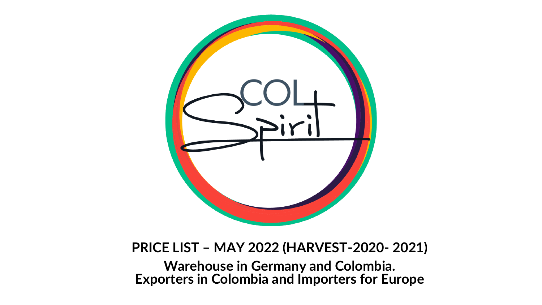

#### **PRICE LIST – MAY 2022 (HARVEST-2020- 2021)**

**Warehouse in Germany and Colombia. Exporters in Colombia and Importers for Europe**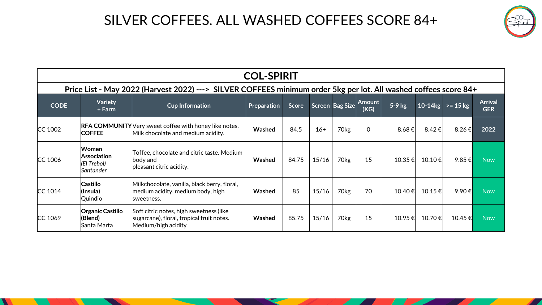### SILVER COFFEES. ALL WASHED COFFEES SCORE 84+



|                                                                                                                  | <b>COL-SPIRIT</b>                                       |                                                                                                             |             |       |       |                        |                |                 |             |                       |                              |  |
|------------------------------------------------------------------------------------------------------------------|---------------------------------------------------------|-------------------------------------------------------------------------------------------------------------|-------------|-------|-------|------------------------|----------------|-----------------|-------------|-----------------------|------------------------------|--|
| Price List - May 2022 (Harvest 2022) ---> SILVER COFFEES minimum order 5kg per lot. All washed coffees score 84+ |                                                         |                                                                                                             |             |       |       |                        |                |                 |             |                       |                              |  |
| <b>CODE</b>                                                                                                      | <b>Variety</b><br>+ Farm                                | <b>Cup Information</b>                                                                                      | Preparation | Score |       | <b>Screen Bag Size</b> | Amount<br>(KG) | $5-9$ kg        |             | 10-14 $kg$ >= 15 $kg$ | <b>Arrival</b><br><b>GER</b> |  |
| $CC$ 1002                                                                                                        | <b>COFFEE</b>                                           | <b>RFA COMMUNITY</b> Very sweet coffee with honey like notes.<br>Milk chocolate and medium acidity.         | Washed      | 84.5  | $16+$ | 70 <sub>kg</sub>       | $\Omega$       | 8.68 $\epsilon$ | 8.42€       | 8.26 $\varepsilon$    | 2022                         |  |
| $CC$ 1006                                                                                                        | <b>Women</b><br>Association<br>(El Trebol)<br>Santander | Toffee, chocolate and citric taste. Medium<br>body and<br>pleasant citric acidity.                          | Washed      | 84.75 | 15/16 | 70 <sub>kg</sub>       | 15             | $10.35 \in$     | 10.10 €     | 9.85 $\epsilon$       | <b>Now</b>                   |  |
| $CC$ 1014                                                                                                        | <b>Castillo</b><br>(Insula)<br>Quindio                  | Milkchocolate, vanilla, black berry, floral,<br>medium acidity, medium body, high<br>lsweetness.            | Washed      | 85    | 15/16 | 70 <sub>kg</sub>       | 70             | 10.40 €         | $10.15 \in$ | 9.90€                 | <b>Now</b>                   |  |
| $CC$ 1069                                                                                                        | <b>Organic Castillo</b><br>(Blend)<br>Santa Marta       | Soft citric notes, high sweetness (like<br>sugarcane), floral, tropical fruit notes.<br>Medium/high acidity | Washed      | 85.75 | 15/16 | 70kg                   | 15             | 10.95 €         | 10.70€      | 10.45 €               | <b>Now</b>                   |  |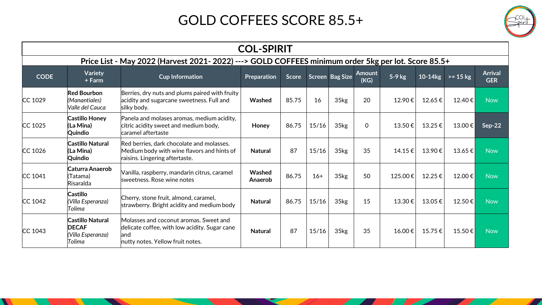## GOLD COFFEES SCORE 85.5+

| iri |
|-----|
|     |

|                                                                                                    | <b>COL-SPIRIT</b>                                                      |                                                                                                                                     |                   |       |       |                  |                       |             |         |             |                              |  |
|----------------------------------------------------------------------------------------------------|------------------------------------------------------------------------|-------------------------------------------------------------------------------------------------------------------------------------|-------------------|-------|-------|------------------|-----------------------|-------------|---------|-------------|------------------------------|--|
| Price List - May 2022 (Harvest 2021-2022) ---> GOLD COFFEES minimum order 5kg per lot. Score 85.5+ |                                                                        |                                                                                                                                     |                   |       |       |                  |                       |             |         |             |                              |  |
| <b>CODE</b>                                                                                        | <b>Variety</b><br>+ Farm                                               | <b>Cup Information</b>                                                                                                              | Preparation       | Score |       | Screen Bag Size  | <b>Amount</b><br>(KG) | $5-9$ kg    | 10-14kg | $>= 15 kg$  | <b>Arrival</b><br><b>GER</b> |  |
| $CC$ 1029                                                                                          | <b>Red Bourbon</b><br>(Manantiales)<br>Valle del Cauca                 | Berries, dry nuts and plums paired with fruity<br>acidity and sugarcane sweetness. Full and<br>silky body.                          | Washed            | 85.75 | 16    | 35 <sub>kg</sub> | 20                    | 12.90€      | 12.65€  | 12.40€      | <b>Now</b>                   |  |
| $CC$ 1025                                                                                          | <b>Castillo Honey</b><br>(La Mina)<br>Quindio                          | Panela and molases aromas, medium acidity,<br>citric acidity sweet and medium body,<br>caramel aftertaste                           | Honey             | 86.75 | 15/16 | 35 <sub>kg</sub> | $\mathbf 0$           | 13.50€      | 13.25€  | $13.00 \in$ | $Sep-22$                     |  |
| $CC$ 1026                                                                                          | <b>Castillo Natural</b><br>(La Mina)<br>Quindio                        | Red berries, dark chocolate and molasses.<br>Medium body with wine flavors and hints of<br>raisins. Lingering aftertaste.           | <b>Natural</b>    | 87    | 15/16 | 35 <sub>kg</sub> | 35                    | $14.15 \in$ | 13.90€  | $13.65 \in$ | <b>Now</b>                   |  |
| $CC$ 1041                                                                                          | Caturra Anaerob<br>(Tatama)<br>Risaralda                               | Vanilla, raspberry, mandarin citrus, caramel<br>sweetness. Rose wine notes                                                          | Washed<br>Anaerob | 86.75 | $16+$ | 35kg             | 50                    | 125.00€     | 12.25€  | 12.00 €     | <b>Now</b>                   |  |
| $CC$ 1042                                                                                          | Castillo<br>(Villa Esperanza)<br>Tolima                                | Cherry, stone fruit, almond, caramel,<br>strawberry. Bright acidity and medium body                                                 | <b>Natural</b>    | 86.75 | 15/16 | 35kg             | 15                    | 13.30€      | 13.05€  | $12.50 \in$ | <b>Now</b>                   |  |
| CC 1043                                                                                            | <b>Castillo Natural</b><br><b>DECAF</b><br>(Villa Esperanza)<br>Tolima | Molasses and coconut aromas. Sweet and<br>delicate coffee, with low acidity. Sugar cane<br>land<br>nutty notes. Yellow fruit notes. | <b>Natural</b>    | 87    | 15/16 | 35kg             | 35                    | 16.00€      | 15.75€  | 15.50 €     | <b>Now</b>                   |  |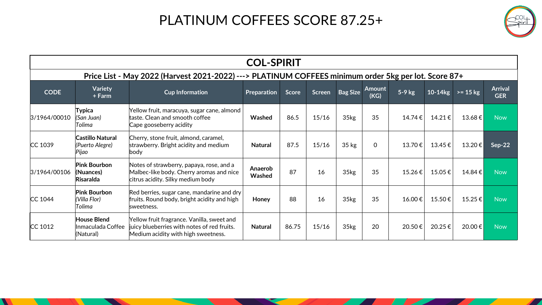# PLATINUM COFFEES SCORE 87.25+

| ب. |  |
|----|--|
|    |  |

| <b>COL-SPIRIT</b>                                                                                    |                                                      |                                                                                                                                                                                           |                   |       |               |                  |                       |        |        |                    |                              |
|------------------------------------------------------------------------------------------------------|------------------------------------------------------|-------------------------------------------------------------------------------------------------------------------------------------------------------------------------------------------|-------------------|-------|---------------|------------------|-----------------------|--------|--------|--------------------|------------------------------|
| Price List - May 2022 (Harvest 2021-2022) ---> PLATINUM COFFEES minimum order 5kg per lot. Score 87+ |                                                      |                                                                                                                                                                                           |                   |       |               |                  |                       |        |        |                    |                              |
| <b>CODE</b>                                                                                          | <b>Variety</b><br>+ Farm                             | <b>Cup Information</b>                                                                                                                                                                    | Preparation       | Score | <b>Screen</b> | <b>Bag Size</b>  | <b>Amount</b><br>(KG) | 5-9 kg |        | $10-14kg$ >= 15 kg | <b>Arrival</b><br><b>GER</b> |
| 3/1964/00010                                                                                         | Typica<br>(San Juan)<br>Tolima                       | Yellow fruit, maracuya, sugar cane, almond  <br>$ $ taste. Clean and smooth coffee<br>Cape gooseberry acidity                                                                             | Washed            | 86.5  | 15/16         | 35 <sub>kg</sub> | 35                    | 14.74€ | 14.21€ | 13.68 €            | <b>Now</b>                   |
| CC 1039                                                                                              | <b>Castillo Natural</b><br>(Puerto Alegre)<br>Pijao  | Cherry, stone fruit, almond, caramel,<br>strawberry. Bright acidity and medium<br>body                                                                                                    | <b>Natural</b>    | 87.5  | 15/16         | $35$ kg          | $\mathbf{0}$          | 13.70€ | 13.45€ | 13.20 €            | Sep-22                       |
| 3/1964/00106                                                                                         | <b>Pink Bourbon</b><br>(Nuances)<br><b>Risaralda</b> | Notes of strawberry, papaya, rose, and a<br>Malbec-like body. Cherry aromas and nice<br>citrus acidity. Silky medium body                                                                 | Anaerob<br>Washed | 87    | 16            | 35 <sub>kg</sub> | 35                    | 15.26€ | 15.05€ | 14.84€             | <b>Now</b>                   |
| $CC$ 1044                                                                                            | <b>Pink Bourbon</b><br>(Villa Flor)<br>Tolima        | $\left  \mathsf{Red}\ \mathsf{berries},\mathsf{sugar}\ \mathsf{cane},\mathsf{mandarine}\ \mathsf{and}\ \mathsf{dry} \right $<br>fruits. Round body, bright acidity and high<br>sweetness. | Honey             | 88    | 16            | 35kg             | 35                    | 16.00€ | 15.50€ | 15.25€             | <b>Now</b>                   |
| $CC$ 1012                                                                                            | <b>House Blend</b><br>Inmaculada Coffee<br>(Natural) | Yellow fruit fragrance. Vanilla, sweet and<br>juicy blueberries with notes of red fruits.<br>Medium acidity with high sweetness.                                                          | <b>Natural</b>    | 86.75 | 15/16         | 35 <sub>kg</sub> | 20                    | 20.50€ | 20.25€ | 20.00€             | <b>Now</b>                   |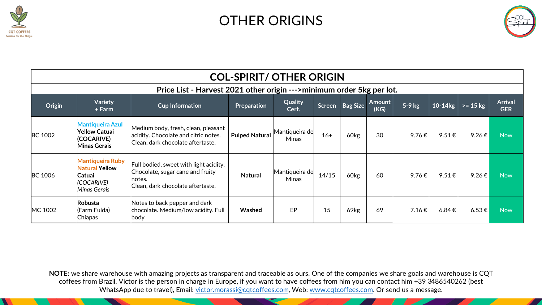

#### OTHER ORIGINS



|                                                                       | <b>COL-SPIRIT/ OTHER ORIGIN</b>                                                                 |                                                                                                                            |                       |                                |        |                  |                |            |                    |            |                              |  |
|-----------------------------------------------------------------------|-------------------------------------------------------------------------------------------------|----------------------------------------------------------------------------------------------------------------------------|-----------------------|--------------------------------|--------|------------------|----------------|------------|--------------------|------------|------------------------------|--|
| Price List - Harvest 2021 other origin --->minimum order 5kg per lot. |                                                                                                 |                                                                                                                            |                       |                                |        |                  |                |            |                    |            |                              |  |
| Origin                                                                | Variety<br>+ Farm                                                                               | <b>Cup Information</b>                                                                                                     | Preparation           | Quality<br>Cert.               | Screen | <b>Bag Size</b>  | Amount<br>(KG) | 5-9 kg     | 10-14kg            | $>= 15 kg$ | <b>Arrival</b><br><b>GER</b> |  |
| <b>BC 1002</b>                                                        | <b>Mantiqueira Azul</b><br>Yellow Catuai<br>(COCARIVE)<br><b>Minas Gerais</b>                   | Medium body, fresh, clean, pleasant<br>acidity. Chocolate and citric notes.<br>Clean, dark chocolate aftertaste.           | <b>Pulped Natural</b> | Mantiqueira de<br><b>Minas</b> | $16+$  | 60 <sub>kg</sub> | 30             | 9.76€      | $9.51 \in$         | 9.26€      | <b>Now</b>                   |  |
| <b>BC 1006</b>                                                        | <b>Mantiqueira Ruby</b><br><b>Natural Yellow</b><br><b>Catuai</b><br>(COCARIVE)<br>Minas Gerais | Full bodied, sweet with light acidity.<br>Chocolate, sugar cane and fruity<br>lnotes.<br>Clean, dark chocolate aftertaste. | <b>Natural</b>        | Mantiqueira de<br><b>Minas</b> | 14/15  | 60 <sub>kg</sub> | 60             | 9.76€      | 9.51 $\varepsilon$ | 9.26€      | <b>Now</b>                   |  |
| MC 1002                                                               | <b>Robusta</b><br>(Farm Fulda)<br>Chiapas                                                       | Notes to back pepper and dark<br>chocolate. Medium/low acidity. Full<br>body                                               | Washed                | EP                             | 15     | 69 <sub>kg</sub> | 69             | $7.16 \in$ | $6.84 \epsilon$    | $6.53 \in$ | <b>Now</b>                   |  |

**NOTE:** we share warehouse with amazing projects as transparent and traceable as ours. One of the companies we share goals and warehouse is CQT coffees from Brazil. Victor is the person in charge in Europe, if you want to have coffees from him you can contact him +39 3486540262 (best WhatsApp due to travel), Email: [victor.morassi@cqtcoffees.com](mailto:victor.morassi@cqtcoffees.com), Web: [www.cqtcoffees.com.](http://www.cqtcoffees.com/) Or send us a message.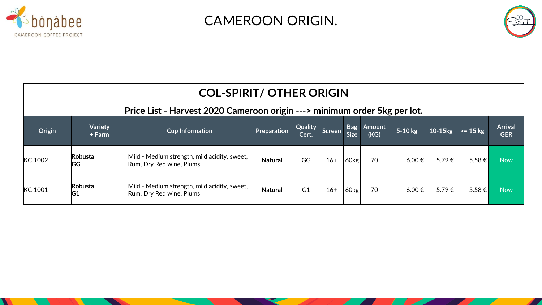

CAMEROON ORIGIN.



| <b>COL-SPIRIT/ OTHER ORIGIN</b>                                           |                           |                                                                          |                |                  |               |                           |                |            |              |            |                              |  |
|---------------------------------------------------------------------------|---------------------------|--------------------------------------------------------------------------|----------------|------------------|---------------|---------------------------|----------------|------------|--------------|------------|------------------------------|--|
| Price List - Harvest 2020 Cameroon origin ---> minimum order 5kg per lot. |                           |                                                                          |                |                  |               |                           |                |            |              |            |                              |  |
| Origin                                                                    | <b>Variety</b><br>+ Farm  | <b>Cup Information</b>                                                   | Preparation    | Quality<br>Cert. | <b>Screen</b> | <b>Bag</b><br><b>Size</b> | Amount<br>(KG) | 5-10 kg    | $10-15$ $kg$ | $>= 15 kg$ | <b>Arrival</b><br><b>GER</b> |  |
| KC 1002                                                                   | Robusta<br><b>GG</b>      | Mild - Medium strength, mild acidity, sweet,<br>Rum, Dry Red wine, Plums | <b>Natural</b> | GG               | $16+$         | $160$ kg                  | 70             | $6.00 \in$ | 5.79€        | 5.58 €     | <b>Now</b>                   |  |
| KC 1001                                                                   | Robusta<br>G <sub>1</sub> | Mild - Medium strength, mild acidity, sweet,<br>Rum, Dry Red wine, Plums | <b>Natural</b> | G <sub>1</sub>   | $16+$         | 60kg                      | 70             | $6.00 \in$ | 5.79€        | 5.58 €     | <b>Now</b>                   |  |